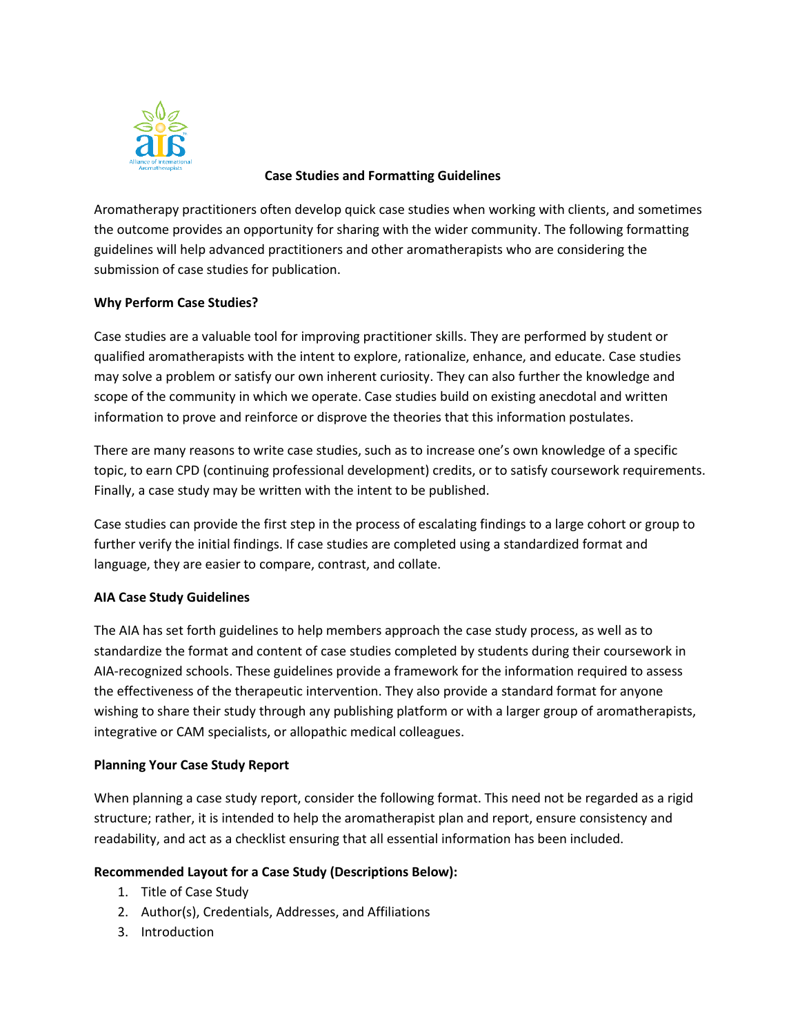

### **Case Studies and Formatting Guidelines**

Aromatherapy practitioners often develop quick case studies when working with clients, and sometimes the outcome provides an opportunity for sharing with the wider community. The following formatting guidelines will help advanced practitioners and other aromatherapists who are considering the submission of case studies for publication.

### **Why Perform Case Studies?**

Case studies are a valuable tool for improving practitioner skills. They are performed by student or qualified aromatherapists with the intent to explore, rationalize, enhance, and educate. Case studies may solve a problem or satisfy our own inherent curiosity. They can also further the knowledge and scope of the community in which we operate. Case studies build on existing anecdotal and written information to prove and reinforce or disprove the theories that this information postulates.

There are many reasons to write case studies, such as to increase one's own knowledge of a specific topic, to earn CPD (continuing professional development) credits, or to satisfy coursework requirements. Finally, a case study may be written with the intent to be published.

Case studies can provide the first step in the process of escalating findings to a large cohort or group to further verify the initial findings. If case studies are completed using a standardized format and language, they are easier to compare, contrast, and collate.

## **AIA Case Study Guidelines**

The AIA has set forth guidelines to help members approach the case study process, as well as to standardize the format and content of case studies completed by students during their coursework in AIA-recognized schools. These guidelines provide a framework for the information required to assess the effectiveness of the therapeutic intervention. They also provide a standard format for anyone wishing to share their study through any publishing platform or with a larger group of aromatherapists, integrative or CAM specialists, or allopathic medical colleagues.

#### **Planning Your Case Study Report**

When planning a case study report, consider the following format. This need not be regarded as a rigid structure; rather, it is intended to help the aromatherapist plan and report, ensure consistency and readability, and act as a checklist ensuring that all essential information has been included.

#### **Recommended Layout for a Case Study (Descriptions Below):**

- 1. Title of Case Study
- 2. Author(s), Credentials, Addresses, and Affiliations
- 3. Introduction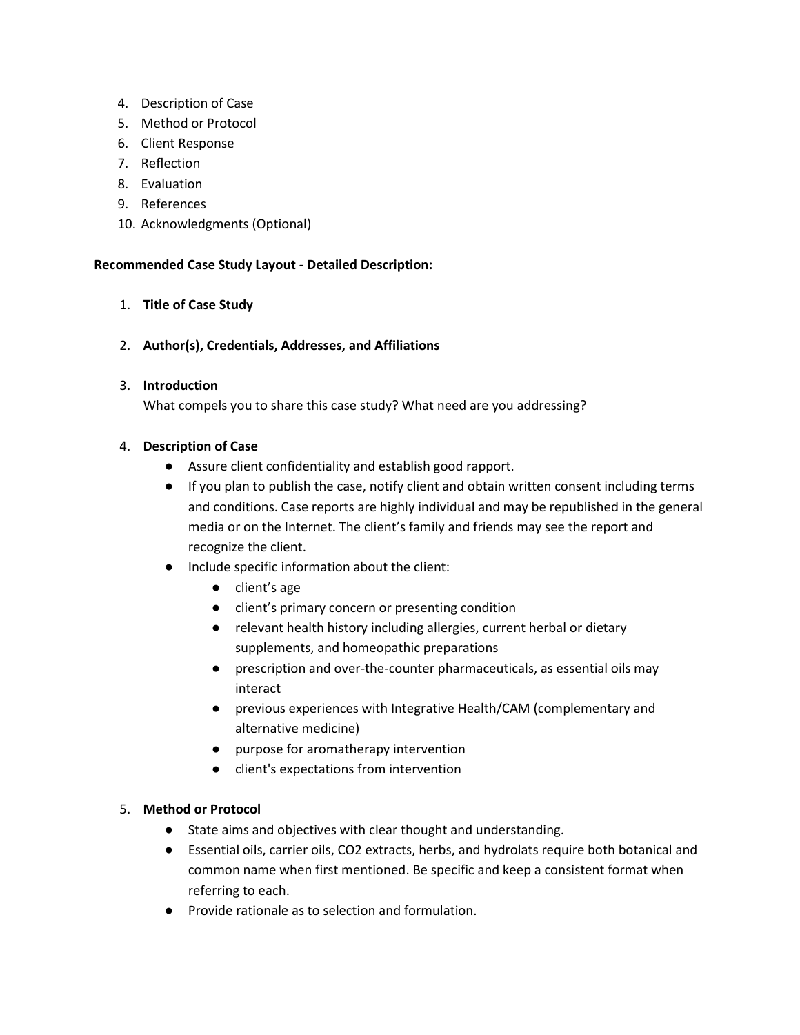- 4. Description of Case
- 5. Method or Protocol
- 6. Client Response
- 7. Reflection
- 8. Evaluation
- 9. References
- 10. Acknowledgments (Optional)

#### **Recommended Case Study Layout - Detailed Description:**

- 1. **Title of Case Study**
- 2. **Author(s), Credentials, Addresses, and Affiliations**

#### 3. **Introduction**

What compels you to share this case study? What need are you addressing?

### 4. **Description of Case**

- Assure client confidentiality and establish good rapport.
- If you plan to publish the case, notify client and obtain written consent including terms and conditions. Case reports are highly individual and may be republished in the general media or on the Internet. The client's family and friends may see the report and recognize the client.
- Include specific information about the client:
	- client's age
	- client's primary concern or presenting condition
	- relevant health history including allergies, current herbal or dietary supplements, and homeopathic preparations
	- prescription and over-the-counter pharmaceuticals, as essential oils may interact
	- previous experiences with Integrative Health/CAM (complementary and alternative medicine)
	- purpose for aromatherapy intervention
	- client's expectations from intervention

#### 5. **Method or Protocol**

- State aims and objectives with clear thought and understanding.
- Essential oils, carrier oils, CO2 extracts, herbs, and hydrolats require both botanical and common name when first mentioned. Be specific and keep a consistent format when referring to each.
- Provide rationale as to selection and formulation.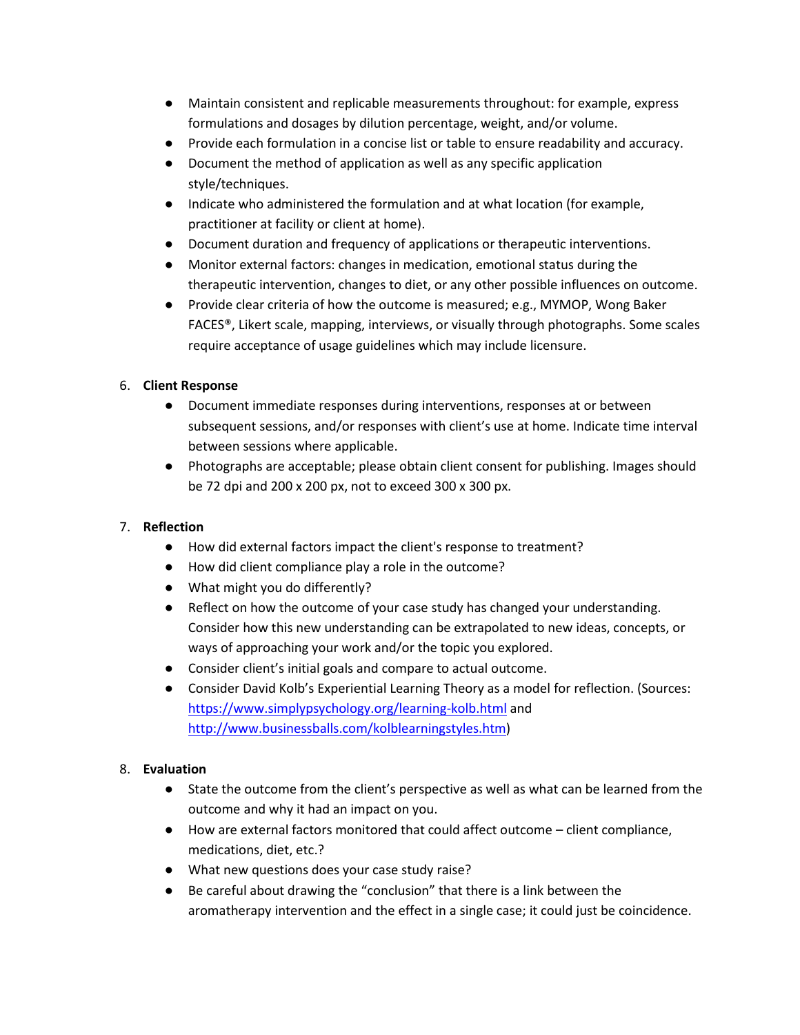- Maintain consistent and replicable measurements throughout: for example, express formulations and dosages by dilution percentage, weight, and/or volume.
- Provide each formulation in a concise list or table to ensure readability and accuracy.
- Document the method of application as well as any specific application style/techniques.
- Indicate who administered the formulation and at what location (for example, practitioner at facility or client at home).
- Document duration and frequency of applications or therapeutic interventions.
- Monitor external factors: changes in medication, emotional status during the therapeutic intervention, changes to diet, or any other possible influences on outcome.
- Provide clear criteria of how the outcome is measured; e.g., MYMOP, Wong Baker FACES®, Likert scale, mapping, interviews, or visually through photographs. Some scales require acceptance of usage guidelines which may include licensure.

# 6. **Client Response**

- Document immediate responses during interventions, responses at or between subsequent sessions, and/or responses with client's use at home. Indicate time interval between sessions where applicable.
- Photographs are acceptable; please obtain client consent for publishing. Images should be 72 dpi and 200 x 200 px, not to exceed 300 x 300 px.

## 7. **Reflection**

- How did external factors impact the client's response to treatment?
- How did client compliance play a role in the outcome?
- What might you do differently?
- Reflect on how the outcome of your case study has changed your understanding. Consider how this new understanding can be extrapolated to new ideas, concepts, or ways of approaching your work and/or the topic you explored.
- Consider client's initial goals and compare to actual outcome.
- Consider David Kolb's Experiential Learning Theory as a model for reflection. (Sources: <https://www.simplypsychology.org/learning-kolb.html> and [http://www.businessballs.com/kolblearningstyles.htm\)](http://www.businessballs.com/kolblearningstyles.htm)

## 8. **Evaluation**

- State the outcome from the client's perspective as well as what can be learned from the outcome and why it had an impact on you.
- How are external factors monitored that could affect outcome client compliance, medications, diet, etc.?
- What new questions does your case study raise?
- Be careful about drawing the "conclusion" that there is a link between the aromatherapy intervention and the effect in a single case; it could just be coincidence.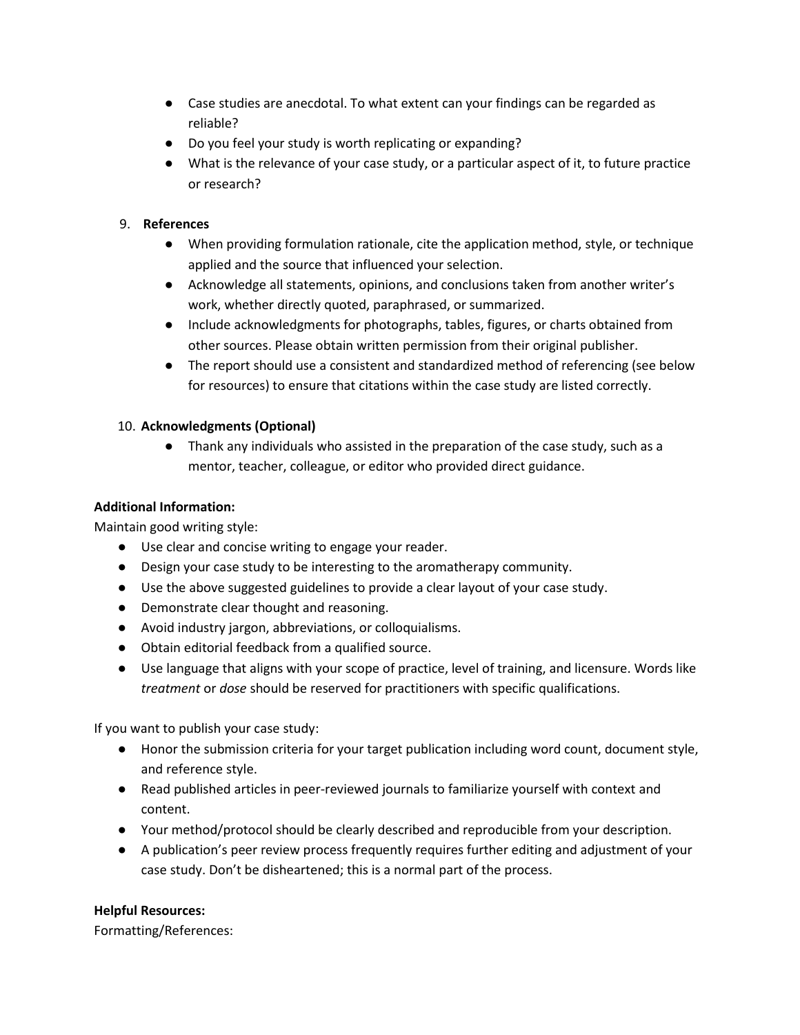- Case studies are anecdotal. To what extent can your findings can be regarded as reliable?
- Do you feel your study is worth replicating or expanding?
- What is the relevance of your case study, or a particular aspect of it, to future practice or research?

## 9. **References**

- When providing formulation rationale, cite the application method, style, or technique applied and the source that influenced your selection.
- Acknowledge all statements, opinions, and conclusions taken from another writer's work, whether directly quoted, paraphrased, or summarized.
- Include acknowledgments for photographs, tables, figures, or charts obtained from other sources. Please obtain written permission from their original publisher.
- The report should use a consistent and standardized method of referencing (see below for resources) to ensure that citations within the case study are listed correctly.

### 10. **Acknowledgments (Optional)**

● Thank any individuals who assisted in the preparation of the case study, such as a mentor, teacher, colleague, or editor who provided direct guidance.

### **Additional Information:**

Maintain good writing style:

- Use clear and concise writing to engage your reader.
- Design your case study to be interesting to the aromatherapy community.
- Use the above suggested guidelines to provide a clear layout of your case study.
- Demonstrate clear thought and reasoning.
- Avoid industry jargon, abbreviations, or colloquialisms.
- Obtain editorial feedback from a qualified source.
- Use language that aligns with your scope of practice, level of training, and licensure. Words like *treatment* or *dose* should be reserved for practitioners with specific qualifications.

If you want to publish your case study:

- Honor the submission criteria for your target publication including word count, document style, and reference style.
- Read published articles in peer-reviewed journals to familiarize yourself with context and content.
- Your method/protocol should be clearly described and reproducible from your description.
- A publication's peer review process frequently requires further editing and adjustment of your case study. Don't be disheartened; this is a normal part of the process.

#### **Helpful Resources:**

Formatting/References: